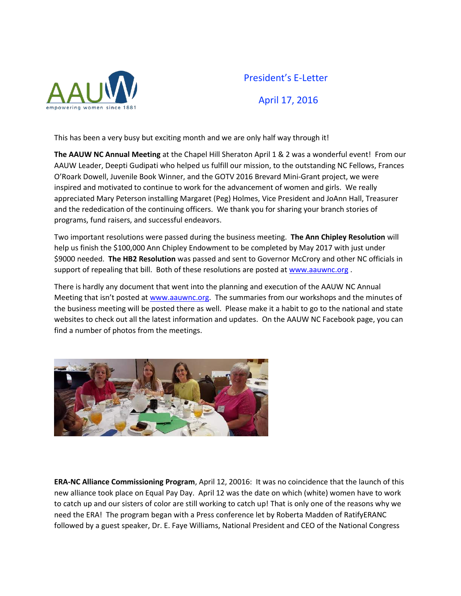

## President's E-Letter April 17, 2016

This has been a very busy but exciting month and we are only half way through it!

**The AAUW NC Annual Meeting** at the Chapel Hill Sheraton April 1 & 2 was a wonderful event! From our AAUW Leader, Deepti Gudipati who helped us fulfill our mission, to the outstanding NC Fellows, Frances O'Roark Dowell, Juvenile Book Winner, and the GOTV 2016 Brevard Mini-Grant project, we were inspired and motivated to continue to work for the advancement of women and girls. We really appreciated Mary Peterson installing Margaret (Peg) Holmes, Vice President and JoAnn Hall, Treasurer and the rededication of the continuing officers. We thank you for sharing your branch stories of programs, fund raisers, and successful endeavors.

Two important resolutions were passed during the business meeting. **The Ann Chipley Resolution** will help us finish the \$100,000 Ann Chipley Endowment to be completed by May 2017 with just under \$9000 needed. **The HB2 Resolution** was passed and sent to Governor McCrory and other NC officials in support of repealing that bill. Both of these resolutions are posted at [www.aauwnc.org](http://www.aauwnc.org/) .

There is hardly any document that went into the planning and execution of the AAUW NC Annual Meeting that isn't posted at [www.aauwnc.org.](http://www.aauwnc.org/) The summaries from our workshops and the minutes of the business meeting will be posted there as well. Please make it a habit to go to the national and state websites to check out all the latest information and updates. On the AAUW NC Facebook page, you can find a number of photos from the meetings.



**ERA-NC Alliance Commissioning Program**, April 12, 20016: It was no coincidence that the launch of this new alliance took place on Equal Pay Day. April 12 was the date on which (white) women have to work to catch up and our sisters of color are still working to catch up! That is only one of the reasons why we need the ERA! The program began with a Press conference let by Roberta Madden of RatifyERANC followed by a guest speaker, Dr. E. Faye Williams, National President and CEO of the National Congress